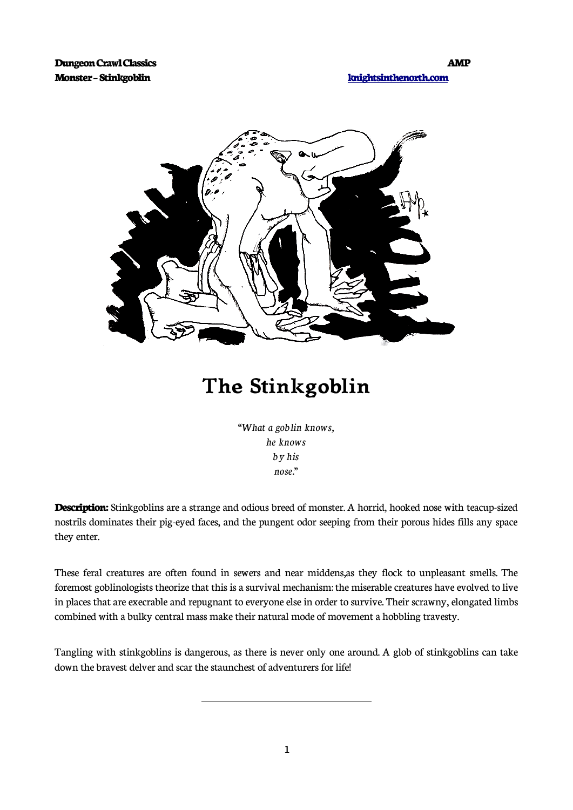

## **The Stinkgoblin**

"*What a goblin knows, he knows by his nose."*

**Description:** Stinkgoblins are a strange and odious breed of monster. A horrid, hooked nose with teacup-sized nostrils dominates their pig-eyed faces, and the pungent odor seeping from their porous hides fills any space they enter.

These feral creatures are often found in sewers and near middens,as they flock to unpleasant smells. The foremost goblinologists theorize that this is a survival mechanism: the miserable creatures have evolved to live in places that are execrable and repugnant to everyone else in order to survive. Their scrawny, elongated limbs combined with a bulky central mass make their natural mode of movement a hobbling travesty.

Tangling with stinkgoblins is dangerous, as there is never only one around. A glob of stinkgoblins can take down the bravest delver and scar the staunchest of adventurers for life!

 $\overline{a}$